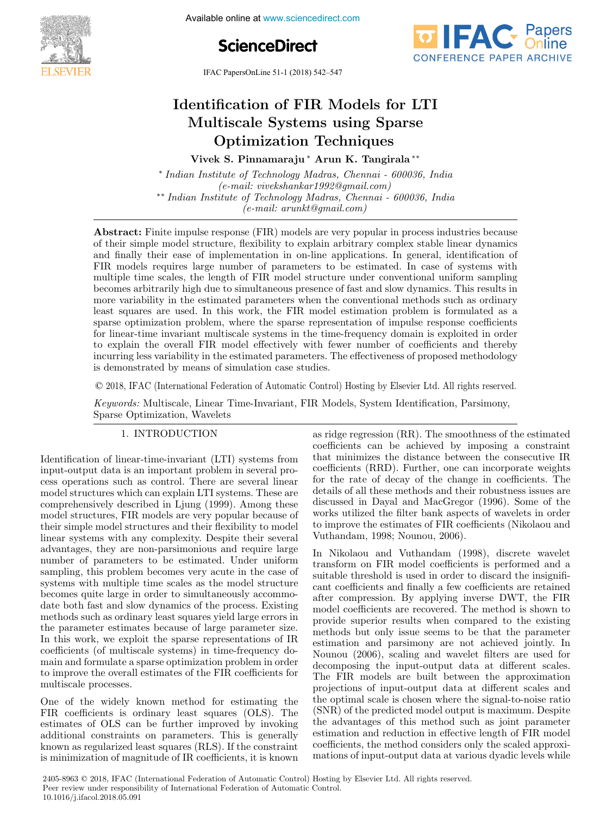





IFAC PapersOnLine 51-1 (2018) 542–547

#### entification of FIR Models for L' ltiscale Systems using Sp Identification of FIR Models for LTI entification of FIR iviouels for  $L$  $\sum_{i=1}^{\infty}$  optimization  $\sum_{i=1}^{\infty}$ ltiscale Systems using Sp Vpunnzauon recunques Identification of FIR Models for LTI Multiscale Systems using Sparse Optimization Techniques Identification of FIR Models for LTI Multiscale Systems using Sparse Optimization Techniques

Identification of  $\mathbb{R}^n$  Models for  $\mathbb{R}^n$  Models for  $\mathbb{R}^n$ 

Vivek S. Pinnamaraju ∗ Arun K. Tangirala ∗∗ Vivek S. Pinnamaraju ∗ Arun K. Tangirala ∗∗ Vivek S. Pinnamaraju ∗ Arun K. Tangirala ∗∗ Vivek S. Pinnamaraju ∗ Arun K. Tangirala ∗∗

\* Indian Institute of Technology Madras, Chennai - 600036, India rhann rhshtate of Technology maints, Chennai - 600000, rhand<br>(e-mail: vivekshankar1992@gmail.com) ∗∗ Indian Institute of Technology Madras, Chennai - 600036, India (e-mail: vivekshankar1992@gmail.com) (e-mail: arunkt@gmail.com) (e-mail: arunkt@gmail.com)  $\mu_{\text{total}}$  Indian Institute of Technology Madras, Chennai -  $\sigma_{\text{0}}$ <sup>t</sup> E-mail: biockshahkar1332s@gmail.com/<br>\*\* Indian Institute of Technology Madras, Chennai - 600036, India • Indian Institute of Technology Madrias, Chennai - 600036, India<br>←  $(e$ -mail: arunkt@gmail.com)  $(v<sub>n</sub>wa<sub>n</sub>wa<sub>n</sub>a<sub>1</sub>wa<sub>n</sub>a<sub>n</sub>a<sub>2</sub>wa<sub>n</sub>wa<sub>n</sub>wa<sub>n</sub>wa<sub>n</sub>wa<sub>n</sub>wa<sub>n</sub>wa<sub>n</sub>wa<sub>n</sub>wa<sub>n</sub>wa<sub>n</sub>wa<sub>n</sub>wa<sub>n</sub>wa<sub>n</sub>wa<sub>n</sub>wa<sub>n</sub>wa<sub>n</sub>wa<sub>n</sub>wa<sub>n</sub>wa<sub>n</sub>wa<sub>n</sub>wa<sub>n</sub>wa<sub>n</sub>wa<sub>n</sub>wa<sub>n</sub>wa<sub>n</sub>$ 

 $\frac{1}{2}$ 

Abstract: Finite impulse response  $(FIR)$  models are very popular in process industries because of their simple model structure, flexibility to explain arbitrary complex stable linear dynamics of their simple model structure, nexibility to explain arbitrary complex stable inteat dynamics<br>and finally their ease of implementation in on-line applications. In general, identification of and finally their ease of implementation in on-line applications. In general, identification of FIR models requires large number of parameters to be estimated. In case of systems with The models requires large number of parameters to be estimated. In case of systems with<br>multiple time scales, the length of FIR model structure under conventional uniform sampling hardpic time search, the ringth of FIR model structure under conventional uniform sampling<br>becomes arbitrarily high due to simultaneous presence of fast and slow dynamics. This results in becomes arbitrarily light due to simultaneous presence of last and slow dynamics. This results in<br>more variability in the estimated parameters when the conventional methods such as ordinary least squares are used. In this work, the FIR model estimation problem is formulated as a reast squares are used. In this work, the FIR model estimation problem is formulated as a<br>sparse optimization problem, where the sparse representation of impulse response coefficients sparse openinzation problem, where the sparse representation of impulse response coencients to mea-time invariant inditional systems in the time-requency domain is explored in order<br>to explain the overall FIR model effectively with fewer number of coefficients and thereby<br>incurring less variability in the estimat to explain the overall FIR model energively with lewer number of coefficients and thereby<br>incurring less variability in the estimated parameters. The effectiveness of proposed methodology<br>is demonstrated by means of simula is demonstrated by means of simulation case studies. incurring less variability in the estimated parameters. The effectiveness of proposed methodology<br>is demonstrated by moons of cimulation and studies becomes arbitrarily high due to simultaneous presence of fast and slow dynamics. This results in<br>more variability in the estimated parameters when the conventional methods such as ordinary<br>least squares are used. In this w

© 2018, IFAC (International Federation of Automatic Control) Hosting by Elsevier Ltd. All rights reserved.  $\sim$  2010, If the (Informational Fourtainers of FIRO-Invariant Control, FIRSTICATION, INV. FIRE FIRE TODAY TO  $\odot$  2018, IEAC (International Eederation of Automatic Control) Hesting by Fleevier Itd. All rights reserved  $\heartsuit$  2018, IFAC (International Federation of Automatic Conti

Keywords: Multiscale, Linear Time-Invariant, FIR Models, System Identification, Parsimony, Sparse Optimization, Wavelets Sparse Optimization, Wavelets Sparse Optimization, Wavelets Sparse Optimization, Wavelets Keywords: Multiscale, Linear Time-Invariant, FIR Models, System Identification, Parsimony,

#### 1. INTRODUCTION 1. INTRODUCTION 1. INTRODUCTION 1. INTRODUCTION  $\overline{\phantom{a}}$   $\overline{\phantom{a}}$   $\overline{\phantom{a}}$   $\overline{\phantom{a}}$   $\overline{\phantom{a}}$   $\overline{\phantom{a}}$   $\overline{\phantom{a}}$   $\overline{\phantom{a}}$   $\overline{\phantom{a}}$   $\overline{\phantom{a}}$   $\overline{\phantom{a}}$   $\overline{\phantom{a}}$   $\overline{\phantom{a}}$   $\overline{\phantom{a}}$   $\overline{\phantom{a}}$   $\overline{\phantom{a}}$   $\overline{\phantom{a}}$   $\overline{\phantom{a}}$   $\overline{\$

Identification of linear-time-invariant (LTI) systems from Identification of linear-time-invariant (LTI) systems from Identification of linear-time-invariant (LTI) systems from input-output data is an important problem in several process operations such as control. There are several linear model structures which can explain LTI systems. These are comprehensively described in Ljung (1999). Among these model structures, FIR models are very popular because of<br>their simple model structures and their flexibility to model their simple model structures and their flexibility to model linear systems with any complexity. Despite their several advantages, they are non-parsimonious and require large<br>advantages, they are non-parsimonious and require large<br>number of parameters to be estimated. Inder uniform number of parameters to be estimated. Under uniform sampling, this problem becomes very acute in the case of sumping, this problem becomes very dealer in the case of<br>systems with multiple time scales as the model structure becomes quite large in order to simultaneously accommostate both fast and slow dynamics of the process. Existing<br>methods such as ordinary least squares yield large errors in methods such as ordinary least squares yield large errors in the parameter estimates because of large parameter size. In this work, we exploit the sparse representations of IR coefficients (of multiscale systems) in time-frequency domain and formulate a sparse optimization problem in order to improve the overall estimates of the FIR coefficients for multiscale processes. to improve the overall estimates of the FIR coefficients for multiscale processes. to improve the overall estimates of the FIR coefficients for multiscale processes.  $1.$  Intervalse  $1.$  Intervalse  $1.$  Intervalse  $1.$  Intervalse  $1.$  Intervalse  $1.$ to improve the overall estimates of the FIR coefficients for

One of the widely known method for estimating the One of the widely known method for estimating the One of the widely known method for estimating the FIR coefficients is ordinary least squares (OLS). The estimates of OLS can be further improved by invoking additional constraints on parameters. This is generally known as regularized least squares (RLS). If the constraint is minimization of magnitude of IR coefficients, it is known is minimization of magnitude of IR coefficients, it is known is minimization of magnitude of IR coefficients, it is known multiscale processes. One of the widely Extra coefficients of the coefficients of the further improved by invoking<br>additional constraints on parameters. This is generally<br>known as regularized least squares (RLS). If the constraint<br>is minimization of magnitude o k minimization of magnitude of his confidence, to he mis whi

is minimization of magnitude of IR coefficients, it is known

as ridge regression (RR). The smoothness of the estimated as ridge regression (RR). The smoothness of the estimated as ridge regression (RR). The smoothness of the estimated coefficients can be achieved by imposing a constraint that minimizes the distance between the consecutive IR coefficients (RRD). Further, one can incorporate weights for the rate of decay of the change in coefficients. The details of all these methods and their robustness issues are discussed in Dayal and MacGregor (1996). Some of the<br>works utilized the filter bank aspects of wavelets in order<br>to improve the estimates of FIR coefficients (Nikolaou and works utilized the filter bank aspects of wavelets in order to improve the estimates of FIR coefficients (Nikolaou and Vuthandam, 1998; Nounou, 2006). to improve the estimates of FIR coefficients (Nikolaou and Vuthandam, 1998; Nounou, 2006). to improve the estimates of FIR coefficients (Nikolaou and Vuthandam, 1998; Nounou, 2006).  $t_{\text{interfermion}}$  to  $\sigma$ ,  $t_{\text{interremon}}$   $\sigma$ 

In Nikolaou and Vuthandam (1998), discrete wavelet In Nikolaou and Vuthandam (1998), discrete wavelet In Nikolaou and Vuthandam (1998), discrete wavelet transform on FIR model coefficients is performed and a suitable threshold is used in order to discard the insignifican coefficients and finally a few coefficients are retained after compression. By applying inverse DWT, the FIR model coefficients are recovered. The method is shown to provide superior results when compared to the existing methods but only issue seems to be that the parameter estimation and parsimony are not achieved jointly. In Nounou (2006), scaling and wavelet filters are used for decomposing the input-output data at different scales. The FIR models are built between the approximation projections of input-output data at different scales and the optimal scale is chosen where the signal-to-noise ratio<br>the optimal scale is chosen where the signal-to-noise ratio<br>(SNR) of the predicted model output is maximum. Despite (SNR) of the predicted model output is maximum. Despite the advantages of this method such as joint parameter<br>estimation and reduction in effective length of EIR model estimation and reduction in effective length of FIR model coefficients, the method considers only the scaled approxicoefficients, the method considers only the scaled approxi-<br>mations of input-output data at various dyadic levels while mations of input-output data at various dyadic levels while mations of input-output data at various dyadic levels while  $\begin{array}{ccc} \text{Y} & \text{Y} & \text{Y} & \text{Y} & \text{Y} & \text{Y} & \text{Y} & \text{Y} & \text{Y} & \text{Y} & \text{Y} & \text{Y} & \text{Y} & \text{Y} & \text{Y} & \text{Y} & \text{Y} & \text{Y} & \text{Y} & \text{Y} & \text{Y} & \text{Y} & \text{Y} & \text{Y} & \text{Y} & \text{Y} & \text{Y} & \text{Y} & \text{Y} & \text{Y} & \text{Y} & \text{Y} & \text{Y} & \text{Y} & \text{Y} & \text{$ In Nikolaou and Vuthandam (1 method compatibility of methods of the methods of the scale approximate the scale in the scale of the scale of the scale of the scale of the scale of the scale of the scale of the scale of the scale of the scale of the sca

mations of input-output data at various dyadic levels while

2405-8963 © 2018, IFAC (International Federation of Automatic Control) Hosting by Elsevier Ltd. All rights reserved. Peer review under responsibility of International Federation of Automatic Control.<br>10 1016/i ifsool 2018 05 001 10.1016/j.ifacol.2018.05.091 **Copyright © 2018 IFAC 574**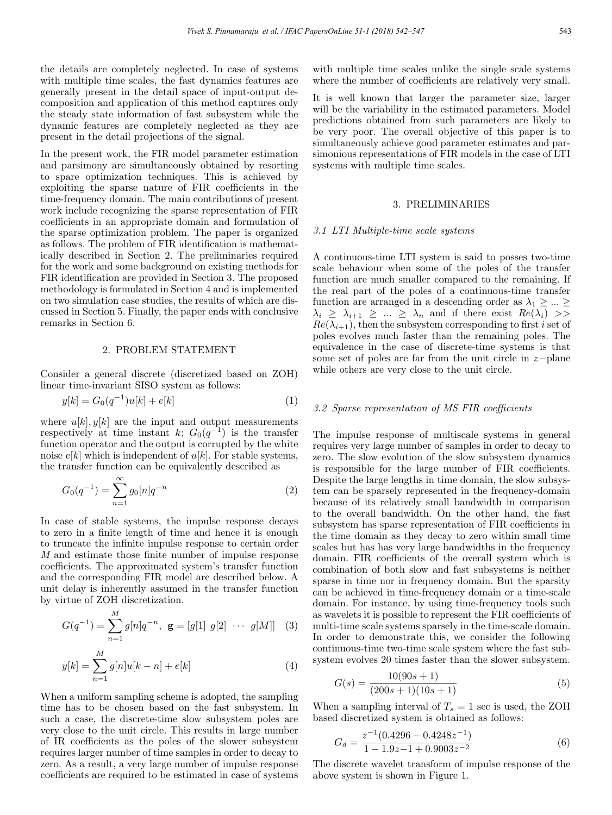the details are completely neglected. In case of systems with multiple time scales, the fast dynamics features are generally present in the detail space of input-output decomposition and application of this method captures only the steady state information of fast subsystem while the dynamic features are completely neglected as they are present in the detail projections of the signal.

In the present work, the FIR model parameter estimation and parsimony are simultaneously obtained by resorting to spare optimization techniques. This is achieved by exploiting the sparse nature of FIR coefficients in the time-frequency domain. The main contributions of present work include recognizing the sparse representation of FIR coefficients in an appropriate domain and formulation of the sparse optimization problem. The paper is organized as follows. The problem of FIR identification is mathematically described in Section 2. The preliminaries required for the work and some background on existing methods for FIR identification are provided in Section 3. The proposed methodology is formulated in Section 4 and is implemented on two simulation case studies, the results of which are discussed in Section 5. Finally, the paper ends with conclusive remarks in Section 6.

## 2. PROBLEM STATEMENT

Consider a general discrete (discretized based on ZOH) linear time-invariant SISO system as follows:

$$
y[k] = G_0(q^{-1})u[k] + e[k]
$$
\n(1)

where  $u[k], y[k]$  are the input and output measurements respectively at time instant k;  $G_0(q^{-1})$  is the transfer function operator and the output is corrupted by the white noise  $e[k]$  which is independent of  $u[k]$ . For stable systems, the transfer function can be equivalently described as

$$
G_0(q^{-1}) = \sum_{n=1}^{\infty} g_0[n]q^{-n}
$$
 (2)

In case of stable systems, the impulse response decays to zero in a finite length of time and hence it is enough to truncate the infinite impulse response to certain order M and estimate those finite number of impulse response coefficients. The approximated system's transfer function and the corresponding FIR model are described below. A unit delay is inherently assumed in the transfer function by virtue of ZOH discretization.

 $\overline{M}$ 

$$
G(q^{-1}) = \sum_{n=1}^{M} g[n]q^{-n}, \mathbf{g} = [g[1] \ g[2] \ \cdots \ g[M]] \quad (3)
$$

$$
y[k] = \sum_{n=1}^{M} g[n]u[k-n] + e[k]
$$
 (4)

When a uniform sampling scheme is adopted, the sampling time has to be chosen based on the fast subsystem. In such a case, the discrete-time slow subsystem poles are very close to the unit circle. This results in large number of IR coefficients as the poles of the slower subsystem requires larger number of time samples in order to decay to zero. As a result, a very large number of impulse response coefficients are required to be estimated in case of systems with multiple time scales unlike the single scale systems where the number of coefficients are relatively very small.

It is well known that larger the parameter size, larger will be the variability in the estimated parameters. Model predictions obtained from such parameters are likely to be very poor. The overall objective of this paper is to simultaneously achieve good parameter estimates and parsimonious representations of FIR models in the case of LTI systems with multiple time scales.

## 3. PRELIMINARIES

## 3.1 LTI Multiple-time scale systems

A continuous-time LTI system is said to posses two-time scale behaviour when some of the poles of the transfer function are much smaller compared to the remaining. If the real part of the poles of a continuous-time transfer function are arranged in a descending order as  $\lambda_1 \geq \ldots \geq$  $\lambda_i \geq \lambda_{i+1} \geq ... \geq \lambda_n$  and if there exist  $Re(\lambda_i) \geq$  $Re(\lambda_{i+1}),$  then the subsystem corresponding to first i set of poles evolves much faster than the remaining poles. The equivalence in the case of discrete-time systems is that some set of poles are far from the unit circle in z−plane while others are very close to the unit circle.

## 3.2 Sparse representation of MS FIR coefficients

The impulse response of multiscale systems in general requires very large number of samples in order to decay to zero. The slow evolution of the slow subsystem dynamics is responsible for the large number of FIR coefficients. Despite the large lengths in time domain, the slow subsystem can be sparsely represented in the frequency-domain because of its relatively small bandwidth in comparison to the overall bandwidth. On the other hand, the fast subsystem has sparse representation of FIR coefficients in the time domain as they decay to zero within small time scales but has has very large bandwidths in the frequency domain. FIR coefficients of the overall system which is combination of both slow and fast subsystems is neither sparse in time nor in frequency domain. But the sparsity can be achieved in time-frequency domain or a time-scale domain. For instance, by using time-frequency tools such as wavelets it is possible to represent the FIR coefficients of multi-time scale systems sparsely in the time-scale domain. In order to demonstrate this, we consider the following continuous-time two-time scale system where the fast subsystem evolves 20 times faster than the slower subsystem.

$$
G(s) = \frac{10(90s + 1)}{(200s + 1)(10s + 1)}
$$
\n(5)

When a sampling interval of  $T_s = 1$  sec is used, the ZOH based discretized system is obtained as follows:

$$
G_d = \frac{z^{-1}(0.4296 - 0.4248z^{-1})}{1 - 1.9z - 1 + 0.9003z^{-2}}
$$
(6)

The discrete wavelet transform of impulse response of the above system is shown in Figure 1.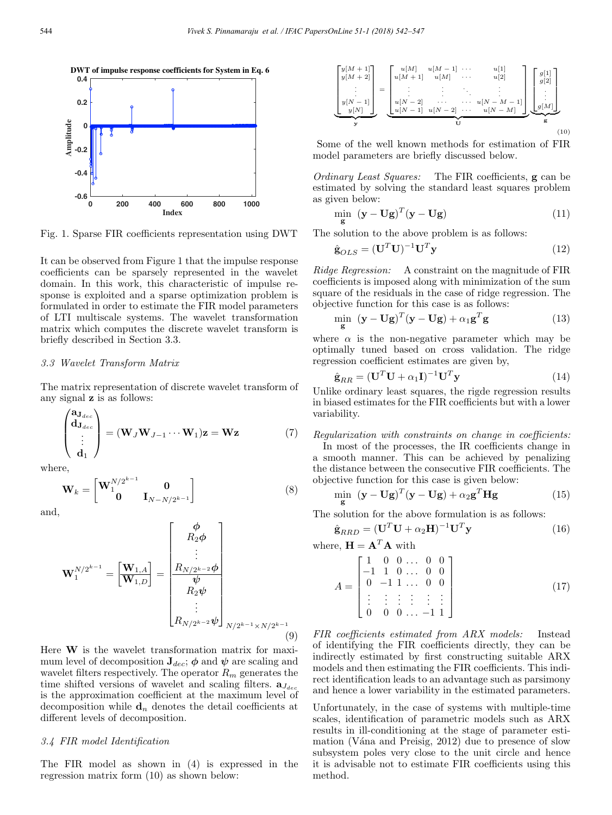

Fig. 1. Sparse FIR coefficients representation using DWT

It can be observed from Figure 1 that the impulse response coefficients can be sparsely represented in the wavelet domain. In this work, this characteristic of impulse response is exploited and a sparse optimization problem is formulated in order to estimate the FIR model parameters of LTI multiscale systems. The wavelet transformation matrix which computes the discrete wavelet transform is briefly described in Section 3.3.

## 3.3 Wavelet Transform Matrix

The matrix representation of discrete wavelet transform of any signal z is as follows:

$$
\begin{pmatrix} \mathbf{a}_{\mathbf{J}_{dec}} \\ \mathbf{d}_{\mathbf{J}_{dec}} \\ \vdots \\ \mathbf{d}_{1} \end{pmatrix} = (\mathbf{W}_{J}\mathbf{W}_{J-1}\cdots\mathbf{W}_{1})\mathbf{z} = \mathbf{W}\mathbf{z}
$$
(7)

where,

$$
\mathbf{W}_k = \begin{bmatrix} \mathbf{W}_1^{N/2^{k-1}} & \mathbf{0} \\ \mathbf{0} & \mathbf{I}_{N-N/2^{k-1}} \end{bmatrix}
$$
 (8)

and,

$$
\mathbf{W}_{1}^{N/2^{k-1}} = \begin{bmatrix} \mathbf{W}_{1,A} \\ \mathbf{W}_{1,D} \end{bmatrix} = \begin{bmatrix} \phi \\ R_{2}\phi \\ \vdots \\ R_{N/2^{k-2}}\phi \\ R_{2}\psi \\ \vdots \\ R_{N/2^{k-2}}\psi \end{bmatrix}_{N/2^{k-1} \times N/2^{k-1}}
$$
(9)

Here  $W$  is the wavelet transformation matrix for maximum level of decomposition  $J_{dec}$ ;  $\phi$  and  $\psi$  are scaling and wavelet filters respectively. The operator  $R_m$  generates the time shifted versions of wavelet and scaling filters.  $\mathbf{a}_{J_{dec}}$ is the approximation coefficient at the maximum level of decomposition while  $\mathbf{d}_n$  denotes the detail coefficients at different levels of decomposition.

#### 3.4 FIR model Identification

The FIR model as shown in (4) is expressed in the regression matrix form (10) as shown below:



Some of the well known methods for estimation of FIR model parameters are briefly discussed below.

Ordinary Least Squares: The FIR coefficients, g can be estimated by solving the standard least squares problem as given below:

$$
\min_{\mathbf{g}} \ (\mathbf{y} - \mathbf{U}\mathbf{g})^T (\mathbf{y} - \mathbf{U}\mathbf{g}) \tag{11}
$$

The solution to the above problem is as follows:

$$
\hat{\mathbf{g}}_{OLS} = (\mathbf{U}^T \mathbf{U})^{-1} \mathbf{U}^T \mathbf{y}
$$
\n(12)

Ridge Regression: A constraint on the magnitude of FIR coefficients is imposed along with minimization of the sum square of the residuals in the case of ridge regression. The objective function for this case is as follows:

$$
\min_{\mathbf{g}} \ (\mathbf{y} - \mathbf{U}\mathbf{g})^T (\mathbf{y} - \mathbf{U}\mathbf{g}) + \alpha_1 \mathbf{g}^T \mathbf{g} \tag{13}
$$

where  $\alpha$  is the non-negative parameter which may be optimally tuned based on cross validation. The ridge regression coefficient estimates are given by,

$$
\hat{\mathbf{g}}_{RR} = (\mathbf{U}^T \mathbf{U} + \alpha_1 \mathbf{I})^{-1} \mathbf{U}^T \mathbf{y}
$$
\n(14)

Unlike ordinary least squares, the rigde regression results in biased estimates for the FIR coefficients but with a lower variability.

Regularization with constraints on change in coefficients:

In most of the processes, the IR coefficients change in a smooth manner. This can be achieved by penalizing the distance between the consecutive FIR coefficients. The objective function for this case is given below:

$$
\min_{\mathbf{g}} \ (\mathbf{y} - \mathbf{U}\mathbf{g})^T (\mathbf{y} - \mathbf{U}\mathbf{g}) + \alpha_2 \mathbf{g}^T \mathbf{H} \mathbf{g} \tag{15}
$$

The solution for the above formulation is as follows:

$$
\hat{\mathbf{g}}_{RRD} = (\mathbf{U}^T \mathbf{U} + \alpha_2 \mathbf{H})^{-1} \mathbf{U}^T \mathbf{y}
$$
\n(16)

where,  $\mathbf{H} = \mathbf{A}^T \mathbf{A}$  with

$$
A = \begin{bmatrix} 1 & 0 & 0 & \dots & 0 & 0 \\ -1 & 1 & 0 & \dots & 0 & 0 \\ 0 & -1 & 1 & \dots & 0 & 0 \\ \vdots & \vdots & \vdots & \vdots & \vdots & \vdots \\ 0 & 0 & 0 & \dots & -1 & 1 \end{bmatrix}
$$
(17)

FIR coefficients estimated from ARX models: Instead of identifying the FIR coefficients directly, they can be indirectly estimated by first constructing suitable ARX models and then estimating the FIR coefficients. This indirect identification leads to an advantage such as parsimony and hence a lower variability in the estimated parameters.

Unfortunately, in the case of systems with multiple-time scales, identification of parametric models such as ARX results in ill-conditioning at the stage of parameter estimation (Vána and Preisig,  $2012$ ) due to presence of slow subsystem poles very close to the unit circle and hence it is advisable not to estimate FIR coefficients using this method.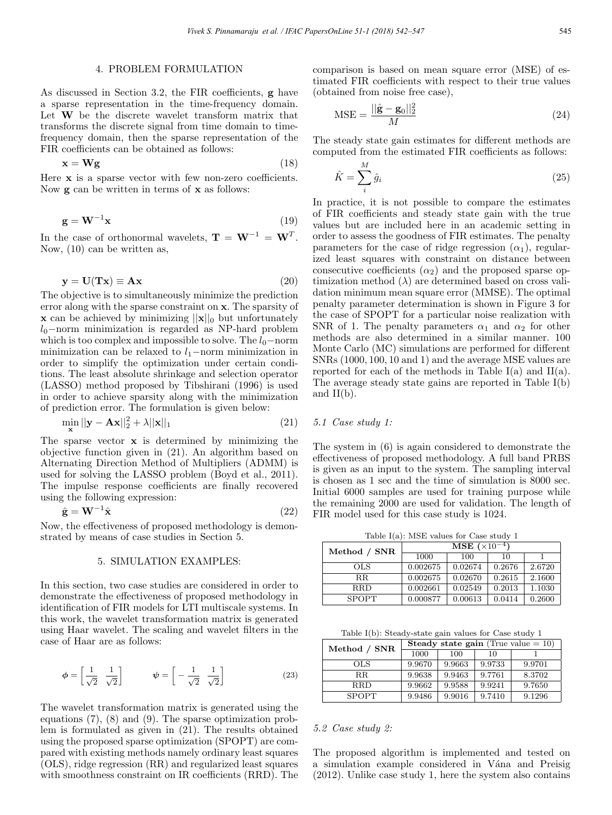## 4. PROBLEM FORMULATION

As discussed in Section 3.2, the FIR coefficients, g have a sparse representation in the time-frequency domain. Let W be the discrete wavelet transform matrix that transforms the discrete signal from time domain to timefrequency domain, then the sparse representation of the FIR coefficients can be obtained as follows:

$$
\mathbf{x} = \mathbf{W}\mathbf{g} \tag{18}
$$

Here **x** is a sparse vector with few non-zero coefficients. Now  $g$  can be written in terms of  $x$  as follows:

$$
\mathbf{g} = \mathbf{W}^{-1} \mathbf{x} \tag{19}
$$

In the case of orthonormal wavelets,  $\mathbf{T} = \mathbf{W}^{-1} = \mathbf{W}^{T}$ . Now, (10) can be written as,

$$
y = U(Tx) \equiv Ax \tag{20}
$$

The objective is to simultaneously minimize the prediction error along with the sparse constraint on x. The sparsity of **x** can be achieved by minimizing  $||\mathbf{x}||_0$  but unfortunately  $l_0$ -norm minimization is regarded as NP-hard problem which is too complex and impossible to solve. The  $l_0$ −norm minimization can be relaxed to  $l_1$ −norm minimization in order to simplify the optimization under certain conditions. The least absolute shrinkage and selection operator (LASSO) method proposed by Tibshirani (1996) is used in order to achieve sparsity along with the minimization of prediction error. The formulation is given below:

$$
\min_{\mathbf{x}} ||\mathbf{y} - \mathbf{A}\mathbf{x}||_2^2 + \lambda ||\mathbf{x}||_1
$$
\n(21)

The sparse vector x is determined by minimizing the objective function given in (21). An algorithm based on Alternating Direction Method of Multipliers (ADMM) is used for solving the LASSO problem (Boyd et al., 2011). The impulse response coefficients are finally recovered using the following expression:

$$
\hat{\mathbf{g}} = \mathbf{W}^{-1} \hat{\mathbf{x}} \tag{22}
$$

Now, the effectiveness of proposed methodology is demonstrated by means of case studies in Section 5.

## 5. SIMULATION EXAMPLES:

In this section, two case studies are considered in order to demonstrate the effectiveness of proposed methodology in identification of FIR models for LTI multiscale systems. In this work, the wavelet transformation matrix is generated using Haar wavelet. The scaling and wavelet filters in the case of Haar are as follows:

$$
\phi = \left[\frac{1}{\sqrt{2}} \quad \frac{1}{\sqrt{2}}\right] \qquad \psi = \left[-\frac{1}{\sqrt{2}} \quad \frac{1}{\sqrt{2}}\right] \tag{23}
$$

The wavelet transformation matrix is generated using the equations (7), (8) and (9). The sparse optimization problem is formulated as given in (21). The results obtained using the proposed sparse optimization (SPOPT) are compared with existing methods namely ordinary least squares (OLS), ridge regression (RR) and regularized least squares with smoothness constraint on IR coefficients (RRD). The comparison is based on mean square error (MSE) of estimated FIR coefficients with respect to their true values (obtained from noise free case),

$$
\text{MSE} = \frac{||\hat{\mathbf{g}} - \mathbf{g}_0||_2^2}{M} \tag{24}
$$

The steady state gain estimates for different methods are computed from the estimated FIR coefficients as follows:

$$
\hat{K} = \sum_{i}^{M} \hat{g}_i \tag{25}
$$

In practice, it is not possible to compare the estimates of FIR coefficients and steady state gain with the true values but are included here in an academic setting in order to assess the goodness of FIR estimates. The penalty parameters for the case of ridge regression  $(\alpha_1)$ , regularized least squares with constraint on distance between consecutive coefficients  $(\alpha_2)$  and the proposed sparse optimization method  $(\lambda)$  are determined based on cross validation minimum mean square error (MMSE). The optimal penalty parameter determination is shown in Figure 3 for the case of SPOPT for a particular noise realization with SNR of 1. The penalty parameters  $\alpha_1$  and  $\alpha_2$  for other methods are also determined in a similar manner. 100 Monte Carlo (MC) simulations are performed for different SNRs (1000, 100, 10 and 1) and the average MSE values are reported for each of the methods in Table  $I(a)$  and  $II(a)$ . The average steady state gains are reported in Table I(b) and  $II(b)$ .

## 5.1 Case study 1:

The system in (6) is again considered to demonstrate the effectiveness of proposed methodology. A full band PRBS is given as an input to the system. The sampling interval is chosen as 1 sec and the time of simulation is 8000 sec. Initial 6000 samples are used for training purpose while the remaining 2000 are used for validation. The length of FIR model used for this case study is 1024.

Table I(a): MSE values for Case study 1 Method / SNR  $\frac{\text{MSE } (\times 10^{-4})}{1000 - 100}$  $1000$ OLS 0.002675 0.02674 0.2676 2.6720 RR 0.002675 0.02670 0.2615 2.1600<br>RRD 0.002661 0.02549 0.2013 1.1030 RRD 0.002661 0.02549 0.2013 1.1030 SPOPT 0.000877 0.00613 0.0414 0.2600

Table I(b): Steady-state gain values for Case study 1

| Method / SNR | <b>Steady state gain</b> (True value $= 10$ ) |        |        |        |  |
|--------------|-----------------------------------------------|--------|--------|--------|--|
|              | 1000                                          | 100    | 10     |        |  |
| OLS.         | 9.9670                                        | 9.9663 | 9.9733 | 9.9701 |  |
| R.R.         | 9.9638                                        | 9.9463 | 9.7761 | 8.3702 |  |
| <b>RRD</b>   | 9.9662                                        | 9.9588 | 9.9241 | 9.7650 |  |
| <b>SPOPT</b> | 9.9486                                        | 9.9016 | 9.7410 | 9.1296 |  |

## 5.2 Case study 2:

The proposed algorithm is implemented and tested on a simulation example considered in Vána and Preisig (2012). Unlike case study 1, here the system also contains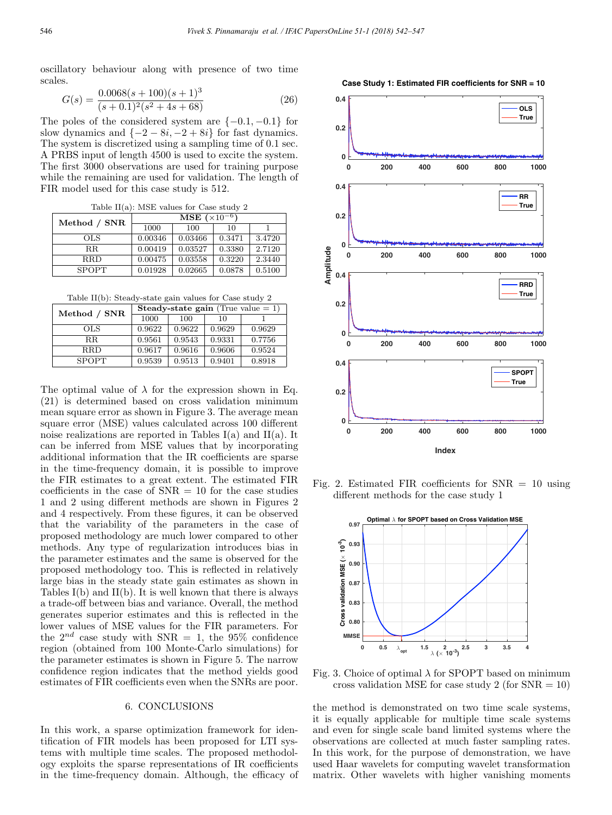**0**

**0.4**

**0.2**

**0.4**

oscillatory behaviour along with presence of two time scales.

$$
G(s) = \frac{0.0068(s + 100)(s + 1)^3}{(s + 0.1)^2(s^2 + 4s + 68)}
$$
\n(26)

The poles of the considered system are  $\{-0.1, -0.1\}$  for slow dynamics and  $\{-2 - 8i, -2 + 8i\}$  for fast dynamics. The system is discretized using a sampling time of 0.1 sec. A PRBS input of length 4500 is used to excite the system. The first 3000 observations are used for training purpose while the remaining are used for validation. The length of FIR model used for this case study is 512.

Table II(a): MSE values for Case study 2

| Method / SNR | <b>MSE</b> $(\times 10^{-6})$ |         |        |        |  |
|--------------|-------------------------------|---------|--------|--------|--|
|              | 1000                          | 100     | 10     |        |  |
| OLS          | 0.00346                       | 0.03466 | 0.3471 | 3.4720 |  |
| $_{\rm RR}$  | 0.00419                       | 0.03527 | 0.3380 | 2.7120 |  |
| <b>RRD</b>   | 0.00475                       | 0.03558 | 0.3220 | 2.3440 |  |
| <b>SPOPT</b> | 0.01928                       | 0.02665 | 0.0878 | 0.5100 |  |

Table II(b): Steady-state gain values for Case study 2

| Method / SNR | <b>Steady-state gain</b> (True value $= 1$ ) |        |        |        |  |
|--------------|----------------------------------------------|--------|--------|--------|--|
|              | 1000                                         | 100    | 10     |        |  |
| OLS.         | 0.9622                                       | 0.9622 | 0.9629 | 0.9629 |  |
| R.R.         | 0.9561                                       | 0.9543 | 0.9331 | 0.7756 |  |
| <b>RRD</b>   | 0.9617                                       | 0.9616 | 0.9606 | 0.9524 |  |
| <b>SPOPT</b> | 0.9539                                       | 0.9513 | 0.9401 | 0.8918 |  |

The optimal value of  $\lambda$  for the expression shown in Eq. (21) is determined based on cross validation minimum mean square error as shown in Figure 3. The average mean square error (MSE) values calculated across 100 different noise realizations are reported in Tables I(a) and II(a). It can be inferred from MSE values that by incorporating additional information that the IR coefficients are sparse in the time-frequency domain, it is possible to improve the FIR estimates to a great extent. The estimated FIR coefficients in the case of  $SNR = 10$  for the case studies 1 and 2 using different methods are shown in Figures 2 and 4 respectively. From these figures, it can be observed that the variability of the parameters in the case of proposed methodology are much lower compared to other methods. Any type of regularization introduces bias in the parameter estimates and the same is observed for the proposed methodology too. This is reflected in relatively large bias in the steady state gain estimates as shown in Tables I(b) and II(b). It is well known that there is always a trade-off between bias and variance. Overall, the method generates superior estimates and this is reflected in the lower values of MSE values for the FIR parameters. For the  $2^{nd}$  case study with SNR = 1, the 95% confidence region (obtained from 100 Monte-Carlo simulations) for the parameter estimates is shown in Figure 5. The narrow confidence region indicates that the method yields good estimates of FIR coefficients even when the SNRs are poor.

## 6. CONCLUSIONS

In this work, a sparse optimization framework for identification of FIR models has been proposed for LTI systems with multiple time scales. The proposed methodology exploits the sparse representations of IR coefficients in the time-frequency domain. Although, the efficacy of



Fig. 2. Estimated FIR coefficients for  $SNR = 10$  using different methods for the case study 1



Fig. 3. Choice of optimal  $\lambda$  for SPOPT based on minimum cross validation MSE for case study 2 (for  $SNR = 10$ )

the method is demonstrated on two time scale systems, it is equally applicable for multiple time scale systems and even for single scale band limited systems where the observations are collected at much faster sampling rates. In this work, for the purpose of demonstration, we have used Haar wavelets for computing wavelet transformation matrix. Other wavelets with higher vanishing moments



**OLS True**

**0 200 400 600 800 1000**